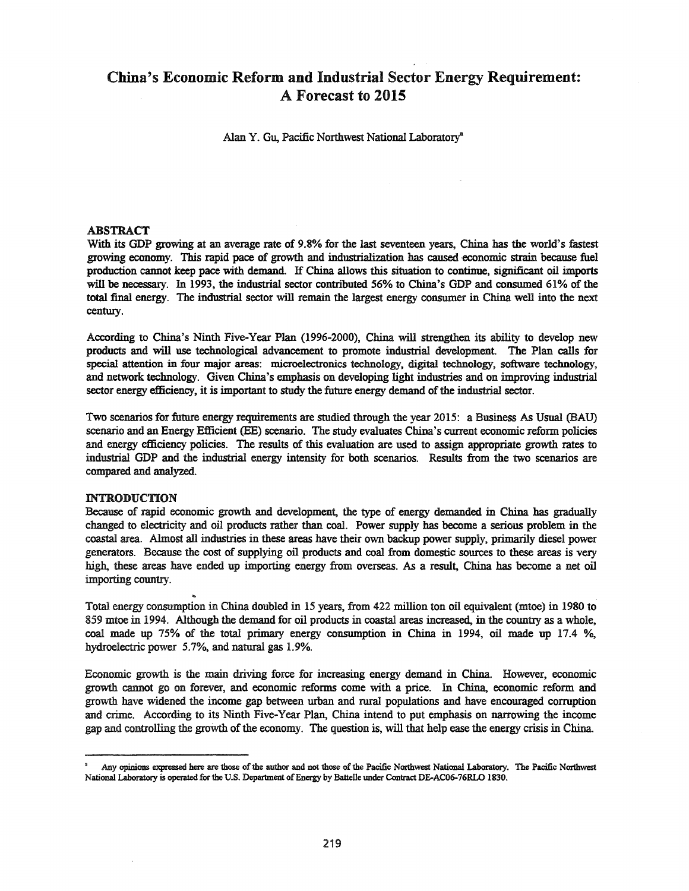# China's Economic Reform and Industrial Sector Energy Requirement: A Forecast to 2015

Alan Y. Gu, Pacific Northwest National Laboratory"

# ABSTRACT

With its GOP growing at an average rate of 9.8% for the last seventeen years, China has the world's fastest growing economy. This rapid pace of growth and industrialization has caused -economic strain because fuel production cannot keep pace with demand. IfChina allows this situation to continue, significant oil imports will be necessary. In 1993, the industrial sector contributed 56% to China's GOP and consumed 61% of the total final energy. The industrial sector will remain the largest energy consumer in China well into the next century.

According to China's Ninth Five-Year Plan (1996-2000), China will strengthen its ability to develop new products and will use technological advancement to promote industrial development The Plan calls for special attention in four major areas: microelectronics technology, digital technology, software technology, and network technology. Given China's emphasis on developing light industries and on improving industrial sector energy efficiency, it is important to study the future energy demand of the industrial sector.

Two scenarios for future energy requirements are studied through the year 2015: a Business As Usual (BAU) scenario and an Energy Efficient (BE) scenario. The study evaluates China's current economic reform policies and energy efficiency policies. The results of this evaluation are used to assign appropriate growth rates to industrial GOP and the industrial energy intensity for both scenarios. Results from the two scenarios are compared and analyzed.

## INTRODUCTION

Because of rapid economic growth and development, the type of energy demanded in China has gradually changed to electricity and oil products rather than coal. Power supply has become a serious problem in the coastal area. Almost all industries in these areas have their own backup power supply, primarily diesel power generators. Because the cost of supplying oil products and coal from domestic sources to these areas is very high, these areas have ended up importing energy from overseas. As a result, China has become a net oil importing country.

Total energy consumption in China doubled in 15 years, from 422 million ton oil equivalent (mtoe) in 1980 to 859 mtoe in 1994. Although the demand for oil products in coastal areas increased, in the country as a whole, coal made up 75% of the total primary energy consumption in China in 1994, oil made up 17.4 %, hydroelectric power 5.7%, and natural gas 1.9%.

Economic growth is the main driving force for increasing energy demand in China. However, economic growth cannot go on forever, and economic reforms come with a price. In China, economic reform and growth have widened the income gap between urban and rural populations and have encouraged corruption and crime. According to its Ninth Five-Year Plan, China intend to put emphasis on narrowing the income gap and controlling the growth of the economy. The question is, will that help ease the energy crisis in China.

Any opinions expressed here are those of the author and not those of the Pacific Northwest National Laboratory. The Pacific Northwest National Laboratory is operated for the U.S. Department of Energy by Battelle under Contract DE-AC06-76RLO 1830.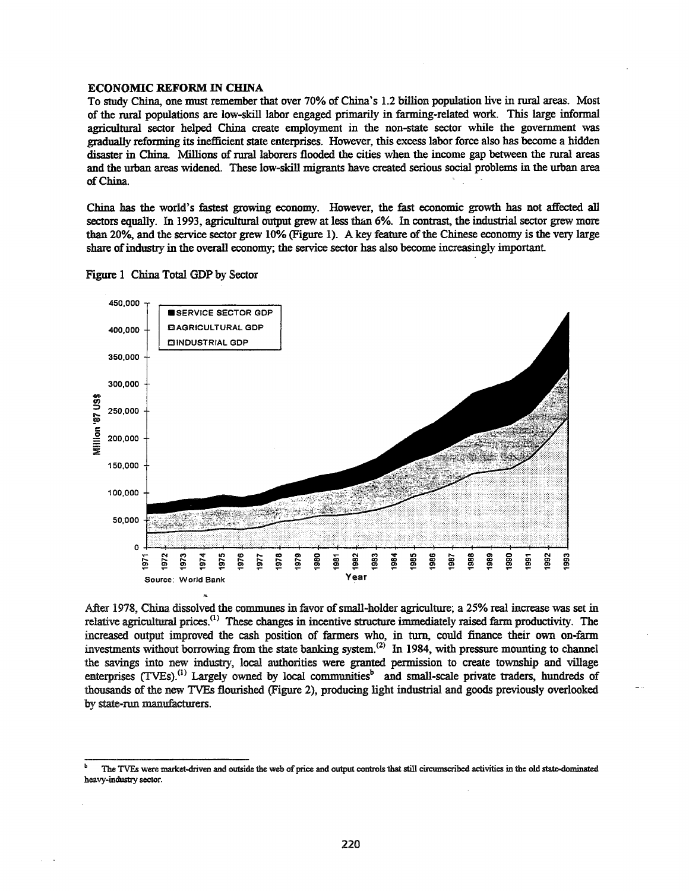## **ECONOMIC REFORM IN CHINA**

To study China, one must remember that over 70% of China's 1.2 billion population live in rural areas. Most of the rural populations are low-skill labor engaged primarily in farming-related work. This large informal agricultural sector helped China create employment in the non-state sector while the government was gradually reforming its inefficient state enterprises. However, this excess labor force also has become a hidden disaster in China. Millions of rural laborers flooded the cities when the income gap between the rural areas and the urban areas widened. These low-skill migrants have created serious social problems in the urban area of China.

China has the world's fastest growing economy. However, the fast economic growth has not affected all sectors equally. In 1993, agricultural output grew at less than 6%. In contrast, the industrial sector grew more than 20%, and the service sector grew 10% (Figure 1). A key feature of the Chinese economy is the very large share of industry in the overall economy; the service sector has also become increasingly important.



Figure 1 China Total GDP by Sector

After 1978, China dissolved the communes in favor of small-holder agriculture; a 25% real increase was set in relative agricultural prices.<sup>(1)</sup> These changes in incentive structure immediately raised farm productivity. The increased output improved the cash position of farmers who, in turn, could finance their own on-farm investments without borrowing from the state banking system.<sup>(2)</sup> In 1984, with pressure mounting to channel the savings into new industry, local authorities were granted permission to create township and village enterprises (TVEs).<sup>(1)</sup> Largely owned by local communities<sup>b</sup> and small-scale private traders, hundreds of thousands of the new TVEs flourished (Figure 2), producing light industrial and goods previously overlooked by state-run manufacturers.

The TVEs were market-driven and outside the web of price and output controls that still circumscribed activities in the old state-dominated heavy-industry sector.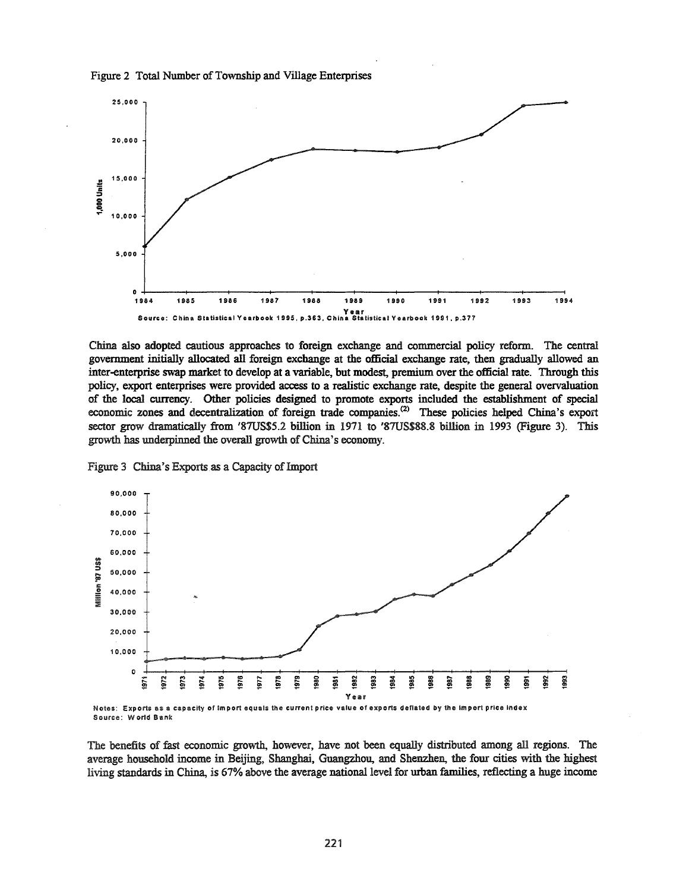



China also adopted cautious approaches to foreign exchange and commercial policy reform. The central government initially allocated all foreign exchange at the official exchange rate, then gradually allowed an inter-enterprise swap market to develop at a variable, but modest, premium over the official rate. Through this policy, export enterprises were provided access to a realistic exchange rate, despite the general overvaluation of the local currency. Other policies designed to promote exports included the establishment of special economic zones and decentralization of foreign trade companies.<sup>(2)</sup> These policies helped China's export sector grow dramatically from '87US\$5.2 billion in 1971 to '87US\$88.8 billion in 1993 (Figure 3). This growth has underpinned the overall growth of China's economy.





Source: World Bank

The benefits of fast economic growth, however, have not been equally distributed among all regions. The average household income in Beijing, Shanghai, Guangzhou, and Shenzhen, the four cities with the highest living standards in China, is 67% above the average national level for urban families, reflecting a huge income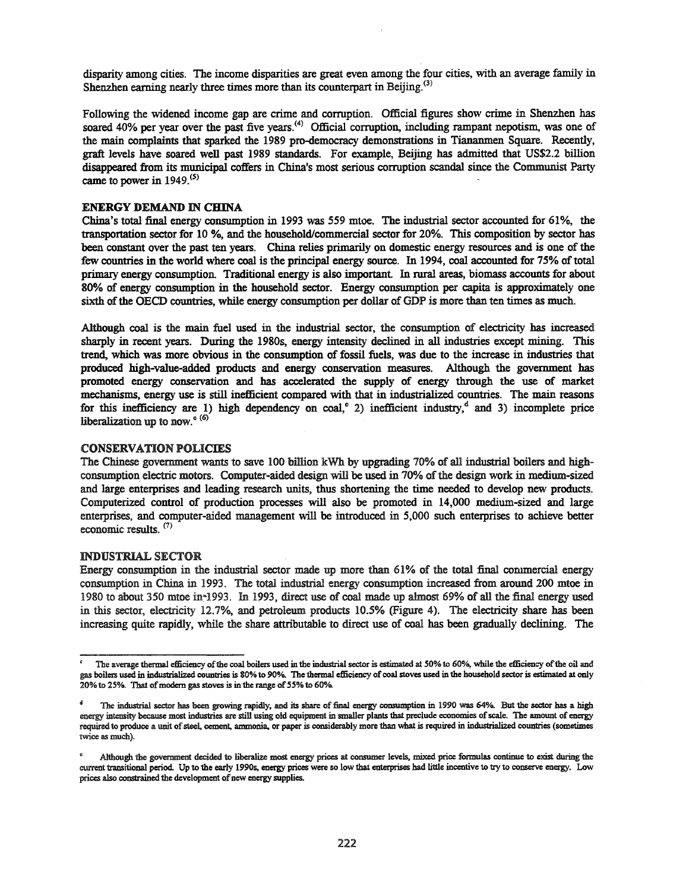disparity among cities. The income disparities are great even among the four cities, with an average family in Shenzhen earning nearly three times more than its counterpart in Beijing.<sup>(3)</sup>

Following the widened income gap are crime and corruption. Official figures show crime in Shenzhen has soared 40% per year over the past five years.<sup>(4)</sup> Official corruption, including rampant nepotism, was one of the main complaints that sparked the 1989 pro-democracy demonstrations in Tiananmen Square. Recently, graft levels have soared well past 1989 standards. For example, Beijing has admitted that US\$2.2 billion disappeared from its municipal coffers in China's most serious corruption scandal since the Communist Party came to power in 1949.<sup>(5)</sup>

## ENERGY DEMAND IN CHINA

China's total final energy consumption in 1993 was 559 mtoe. The industrial sector accounted for 61%, the transportation sector for 10 %, and the household/commercial sector for 20%. This composition by sector has been constant over the past ten years. China relies primarily on domestic energy resources and is one of the few countries in the world where coal is the principal energy source. In 1994, coal accounted for 75% of total primary energy consumption. Traditional energy is also important. In rural areas, biomass accounts for about 80% of energy consumption in the household sector. Energy consumption per capita is approximately one sixth of the OECD countries, while energy consumption per dollar of GDP is more than ten times as much.

Although coal is the main fuel used in the industrial sector, the consumption of electricity has increased sharply in recent years. During the 1980s, energy intensity declined in all industries except mining. This trend, which was more obvious in the consumption of fossil fuels, was due to the increase in industries that produced high-value-added products and energy conservation measures. Although the government has promoted energy conservation and has accelerated the supply of energy through the use of market mechanisms, energy use is still inefficient compared with that in industrialized countries. The main reasons for this inefficiency are 1) high dependency on coal,<sup>c</sup> 2) inefficient industry,<sup>d</sup> and 3) incomplete price liberalization up to now. $e^{6}$ 

#### CONSERVATION POLICIES

The Chinese government wants to save 100 billion kWh by upgrading 70% of all industrial boilers and highconsumption electric motors. Computer-aided design will be used in 70% of the design work in medium-sized and large enterprises and leading research units, thus shortening the time needed to develop new products. Computerized control of production processes will also be promoted in 14,000 medium-sized and large enterprises, and computer-aided management will be introduced in 5,000 such enterprises to achieve better economic results. (7)

## **INDUSTRIAL SECTOR**

Energy consumption in the industrial sector made up more than 61% of the total final commercial energy consumption in China in 1993. The total industrial energy consumption increased from around 200 mtoe in 1980 to about 350 mtoe in~1993. In 1993, direct use of coal made up almost 69% of all the final energy used in this sector, electricity 12.7%, and petroleum products 10.5% (Figure 4). The electricity share has been increasing quite rapidly, while the share attributable to direct use of coal has been gradually declining. The

The average thermal efficiency of the coal boilers used in the industrial sector is estimated at 50% to 60%, while the efficiency of the oil and gas boilers used in industrialized countries is 80% to 90%. The thermal efficiency ofcoal stoves used in the household sector is estimated at only 20% to 25%. That of modern gas stoves is in the range of 55% to 60%.

The industrial sector has been growing rapidly, and its share of final energy consumption in 1990 was 64%. But the sector has a high energy intensity because most industries are sti1l using old equipment in smaller plants that preclude economies ofscale. The amount of energy required to produce a unit ofsteel, cement, ammonia, or paper is considerably more than what is required in industrialized countries (sometimes twice as much).

Although the government decided to liberalize most energy prices at consumer levels, mixed price formulas continue to exist during the current transitional period. Up to the early 1990s, energy prices were so low that enterprises had little incentive to try to conserve energy. Low prices also constrained the development of new energy supplies.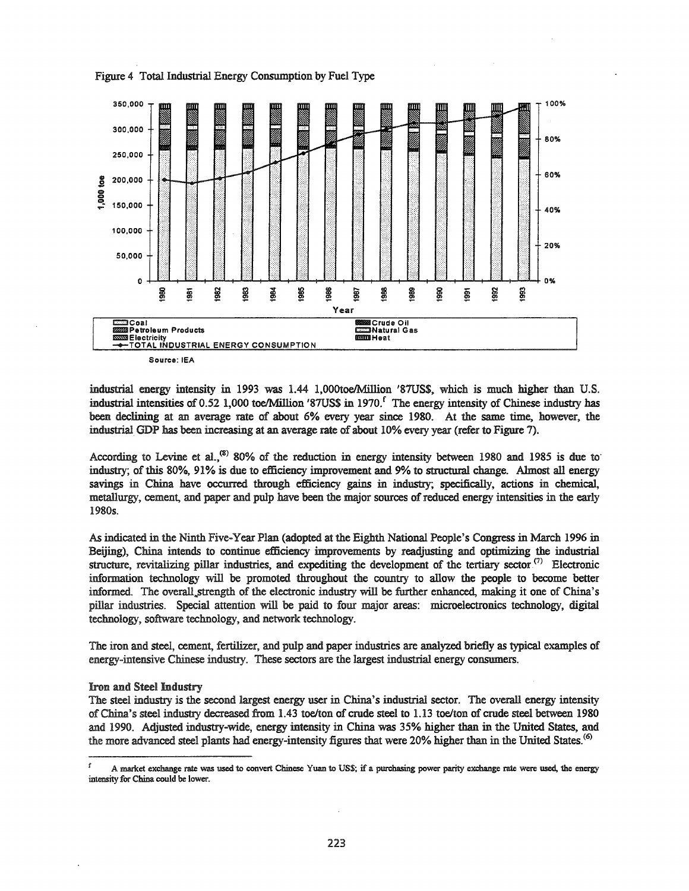

Figure 4 Total Industrial Energy Consumption by Fuel Type

Source: IEA

industrial energy intensity in 1993 was 1.44 1,000toe/Million '87US\$, which is much higher than U.S. industrial intensities of 0.52 1,000 toe/Million '87US\$ in 1970.<sup>f</sup> The energy intensity of Chinese industry has been declining at an average rate of about 6% every year since 1980. At the same time, however, the industrial GDP has been increasing at an average rate of about 10% every year (refer to Figure 7).

According to Levine et al.,<sup>(8)</sup> 80% of the reduction in energy intensity between 1980 and 1985 is due to industry; of this 80%, 91% is due to efficiency improvement and 9% to structural change. Almost all energy savings in China have occurred through efficiency gains in industry; specifically, actions in chemical, metallurgy, cement, and paper and pulp have been the major sources of reduced energy intensities in the early 1980s.

As indicated in the Ninth Five-Year Plan (adopted at the Eighth National People's Congress in March 1996 in Beijing), China intends to continue efficiency improvements by readjusting and optimizing the industrial structure, revitalizing pillar industries, and expediting the development of the tertiary sector<sup>(7)</sup> Electronic information technology will be promoted throughout the country to allow the people to become better informed. The overall strength of the electronic industry will be further enhanced, making it one of China's pillar industries. Special attention will be paid to four major areas: microelectronics technology, digital technology, software technology, and network technology.

The iron and steel, cement, fertilizer, and pulp and paper industries are analyzed briefly as typical examples of energy-intensive Chinese industry. These sectors are the largest industrial energy consumers.

#### **Iron and Steel Industry**

The steel industry is the second largest energy user in China's industrial sector. The overall energy intensity of China's steel industry decreased from 1.43 toe/ton of crude steel to 1.13 toe/ton of crude steel between 1980 and 1990. Adjusted industry-wide, energy intensity in China was 35% higher than in the United States, and the more advanced steel plants had energy-intensity figures that were 20% higher than in the United States.<sup>(6)</sup>

t A market exchange rate was used to convert Chinese Yuan to US\$; if a purchasing power parity exchange rate were used, the energy intensity for China could be lower.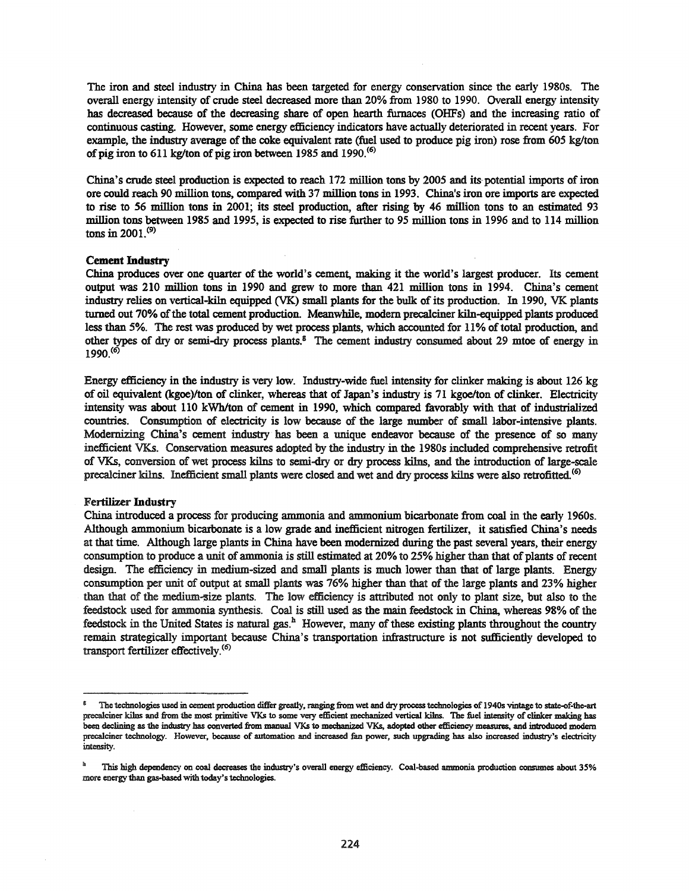The iron and steel industry in China has been targeted for energy conservation since the early 1980s. The overall energy intensity of crude steel decreased more than 20% from 1980 to 1990. Overall energy intensity has decreased because of the decreasing share of open hearth furnaces (OHFs) and the increasing ratio of continuous casting. However, some energy efficiency indicators have actually deteriorated in recent years. For example, the industry average of the coke equivalent rate (fuel used to produce pig iron) rose from 605 kg/ton of pig iron to 611 kg/ton of pig iron between 1985 and 1990.<sup>(6)</sup>

China's crude steel production is expected to reach 172 million tons by 2005 and its potential imports of iron ore could reach 90 million tons, compared with 37 million tons in 1993. China's iron ore imports are expected to rise to 56 million tons in 2001; its steel production, after rising by 46 million tons to an estimated 93 million tons between 1985 and 1995, is expected to rise further to 95 million tons in 1996 and to 114 million tons in  $2001$ .<sup>(9)</sup>

#### Cement **Industry**

China produces over one quarter of the world's cement, making it the world's largest producer. Its cement output was 210 million tons in 1990 and grew to more than 421 million tons in 1994. China's cement industry relies on vertical-kiln equipped (VK) small plants for the bulk ofits production. In 1990, VK plants turned out 70% of the total cement production. Meanwhile, modern precalciner kiln-equipped plants produced less than 5%. The rest was produced by wet process plants, which accounted for 11% oftotal production, and other types of dry or semi-dry process plants.<sup>8</sup> The cement industry consumed about 29 mtoe of energy in 1990.<sup>(6)</sup>

Energy efficiency in the industry is very low. Industry-wide fuel intensity for clinker making is about 126 kg of oil equivalent (kgoe)/ton of clinker, whereas that of Japan's industry is 71 kgoe/ton of clinker. Electricity intensity was about 110 kWh/ton of cement in 1990, which compared favorably with that of industrialized countries. Consumption of electricity is low because of the large number of small labor-intensive plants. Modernizing China's cement industry has been a unique endeavor because of the presence of so many inefficient VKs. Conservation measures adopted by the industry in the 1980s included comprehensive retrofit of VKs, conversion of wet process kilns to semi-dry or dry process kilns, and the introduction of large-scale precalciner kilns. Inefficient small plants were closed and wet and dry process kilns were also retrofitted.<sup>(6)</sup>

#### Fertilizer **Industry**

China introduced a process for producing ammonia and ammonium bicarbonate from coal in the early 1960s. Although ammonium bicarbonate is a low grade and inefficient nitrogen fertilizer, it satisfied China's needs at that time. Although large plants in China have been modernized during the past several years, their energy consumption to produce a unit of ammonia is still estimated at 20% to 25% higher than that of plants ofrecent design. The efficiency in medium-sized and small plants is much lower than that of large plants. Energy consumption per unit of output at small plants was 76% higher than that of the large plants and 23% higher than that of the medium-size plants. The low efficiency is attributed not only to plant size, but also to the feedstock used for ammonia synthesis. Coal is still used as the main feedstock in China, whereas 98% of the feedstock in the United States is natural gas.<sup>h</sup> However, many of these existing plants throughout the country remain strategically important because China's transportation infrastructure is not sufficiently developed to transport fertilizer effectively.(6)

<sup>S</sup> The teclmologies used in cement production differ greatly, ranging from wet and diy processteclmologies of 19405 vintage to state-of-the-art precalciner kilns and from the most primitive VKs to some very efficient mechanized vertical kilns. The fuel intensity of clinker making has been declining as the industry has converted from manual VKs to mechanized VKs, adopted other efficiency measures, and introduced modern precalciner technology. However, because of automation and increased fan power, such upgrading has also increased industry's electricity intensity.

This high dependency on coal decreases the industry's overall energy efficiency. Coal-based ammonia production consumes about 35% more energy than gas-based with today's technologies.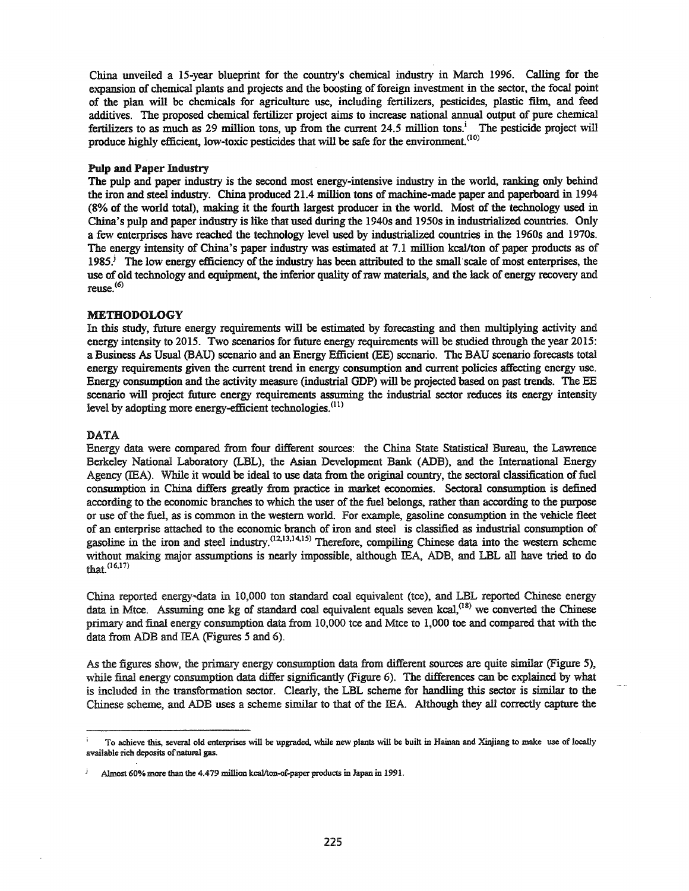China unveiled a IS-year blueprint for the country's chemical industry in March 1996. Calling for the expansion of chemical plants and projects and the boosting of foreign investment in the sector, the focal point of the plan will be chemicals for agriculture use, including fertilizers, pesticides, plastic film, and feed additives. The proposed chemical fertilizer project aims to increase national annual output of pure chemical fertilizers to as much as 29 million tons, up from the current 24.5 million tons.<sup>i</sup> The pesticide project will produce highly efficient, low-toxic pesticides that will be safe for the environment.<sup>(10)</sup>

#### Pulp and Paper Industry

The pulp and paper industry is the second most energy-intensive industry in the world, ranking only behind the iron and steel industry. China produced 21.4 million tons of machine-made paper and paperboard in 1994 (8% of the world total), making it the fourth largest producer in the world. Most of the technology used in China's pulp and paper industry is like that used during the 1940s and 1950s in industrialized countries. Only a few enterprises have reached the technology level used by industrialized countries in the 1960s and 1970s. The energy intensity of China's paper industry was estimated at 7.1 million kcal/ton of paper products as of 1985.<sup>j</sup> The low energy efficiency of the industry has been attributed to the small scale of most enterprises, the use of old technology and equipment, the inferior quality of raw materials, and the lack of energy recovery and  $reuse<sub>6</sub>$ 

## **METHODOLOGY**

In this study, future energy requirements will be estimated by forecasting and then multiplying activity and energy intensity to 2015. Two scenarios for future energy requirements will be studied through the year 2015: a Business As Usual (BAU) scenario and an Energy Efficient (BE) scenario. The BAU scenario forecasts total energy requirements given the current trend in energy consumption and current policies affecting energy use. Energy consumption and the activity measure (industrial GDP) will be projected based on past trends. The EE scenario will project future energy requirements assuming the industrial sector reduces its energy intensity level by adopting more energy-efficient technologies.<sup>(11)</sup>

## DATA

Energy data were compared from four different sources: the China State Statistical Bureau, the Lawrence Berkeley National Laboratory (LBL), the Asian Development Bank (ADB), and the International Energy Agency (IEA). While it would be ideal to use data from the original country, the sectoral classification of fuel consumption in China differs greatly from practice in market economies. Sectoral consumption is defined according to the economic branches to which the user of the fuel belongs, rather than according to the purpose or use ofthe fuel, as is common in the western world. For example, gasoline consumption in the vehicle fleet of an enterprise attached to the economic branch of iron and steel is classified as industrial consumption of gasoline in the iron and steel industry.<sup>(12,13,14,15)</sup> Therefore, compiling Chinese data into the western scheme without making major assumptions is nearly impossible, although lEA, ADB, and LBL all have tried to do that.(16.17)

China reported energy~data in 10,000 ton standard coal equivalent (tce), and LBL reported Chinese energy data in Mtce. Assuming one kg of standard coal equivalent equals seven kcal,<sup>(18)</sup> we converted the Chinese primary and final energy consumption data from 10,000 tce and Mtce to 1,000 toe and compared that with the data from ADB and lEA (Figures 5 and 6).

As the figures show, the primary energy consumption data from different sources are quite similar (Figure 5), while final energy consumption data differ significantly (Figure 6). The differences can be explained by what is included in the transformation sector. Clearly, the LBL scheme for handling this sector is similar to the Chinese scheme, and ADB uses a scheme similar to that of the lEA. Although they all correctly capture the

To achieve this, several old enterprises will be upgraded, while new plants will be built in Hainan and Xinjiang to make use of locally available rich deposits of natural gas.

Almost 60% more than the 4.479 million kcal/ton-of-paper products in Japan in 1991.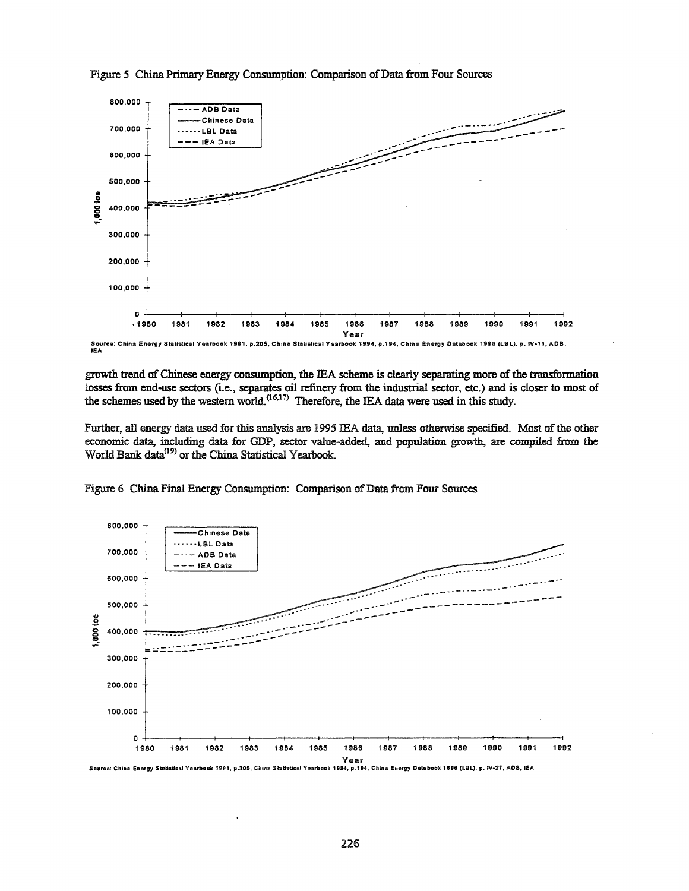

Figure 5 China Primary Energy Consumption: Comparison of Data from Four Sources

growth trend of Chinese energy consumption, the IEA scheme is clearly separating more of the transformation losses from end-use sectors (i.e., separates oil refinery from the industrial sector, etc.) and is closer to most of the schemes used by the western world.<sup>(16,17)</sup> Therefore, the IEA data were used in this study.

Further, all energy data used for this analysis are 1995 IEA data, unless otherwise specified. Most of the other economic data, including data for GDP, sector value-added, and population growth, are compiled from the World Bank data<sup>(19)</sup> or the China Statistical Yearbook.



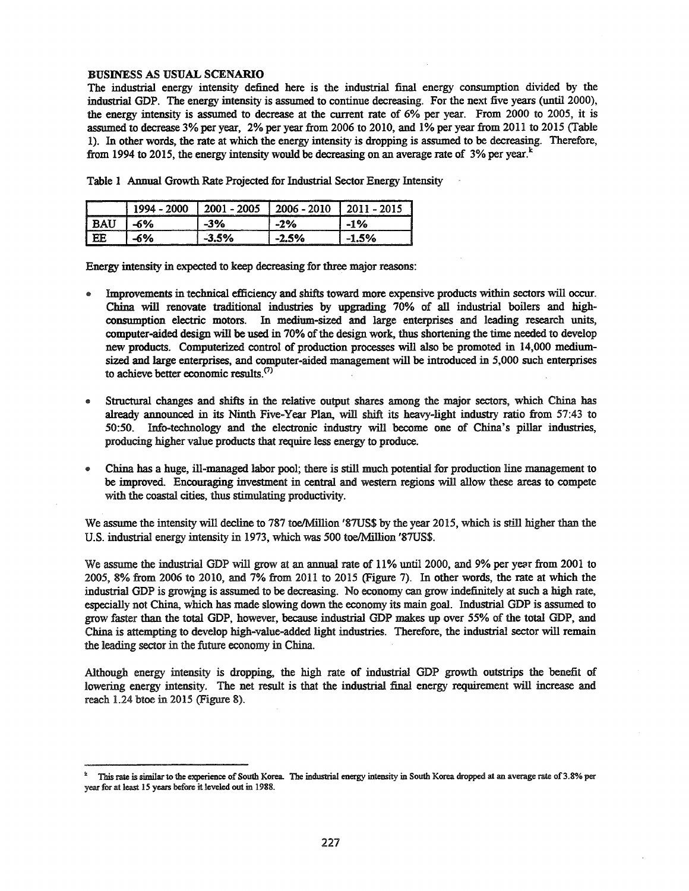## BUSINESS AS USUAL SCENARIO

The industrial energy intensity defined here is the industrial final energy consumption divided by the industrial GOP. The energy intensity is assumed to continue decreasing. For the next five years (until 2000), the energy intensity is assumed to decrease at the current rate of 6% per year. From 2000 to 2005, it is assumed to decrease 3% per year, 2% per year from 2006 to 2010, and 1% per year from 2011 to 2015 (Table 1). In other words, the rate at which the energy intensity is dropping is assumed to be decreasing. Therefore, from 1994 to 2015, the energy intensity would be decreasing on an average rate of  $3\%$  per year.<sup>\*</sup>

|  |  |  |  |  |  |  |  |  | Table 1 Annual Growth Rate Projected for Industrial Sector Energy Intensity |
|--|--|--|--|--|--|--|--|--|-----------------------------------------------------------------------------|
|--|--|--|--|--|--|--|--|--|-----------------------------------------------------------------------------|

| ……   | วกกร<br>-   | <b><i><u>Property Community Community</u></i></b><br>2010<br>. . |                                     |
|------|-------------|------------------------------------------------------------------|-------------------------------------|
| rn 1 | 20/         | 2%<br>. .                                                        | $\frac{1}{2}$<br>_______<br>_______ |
|      | ___________ |                                                                  |                                     |

Energy intensity in expected to keep decreasing for three major reasons:

- Improvements in technical efficiency and shifts toward more expensive products within sectors will occur. China will renovate traditional industries by upgrading 70% of all industrial boilers and highconsumption electric motors. In medium-sized and large enterprises and leading research units, computer-aided design will be used in 70% of the design work, thus shortening the time needed to develop new products. Computerized control of production processes will also be promoted in 14,000 mediumsized and large enterprises, and computer-aided management will be introduced in 5,000 such enterprises to achieve better economic results.(7)
- Structural changes and shifts in the relative output shares among the major sectors, which China has already announced in its Ninth Five-Year Plan, will shift its heavy-light industry ratio from 57:43 to 50:50. Info-technology and the electronic industry will become one of China's pillar industries, producing higher value products that require less energy to produce.
- @ China has a huge, ill-managed labor pool; there is still much potential for production line management to be improved. Encouraging investment in central and western regions will allow these areas to compete with the coastal cities, thus stimulating productivity.

We assume the intensity will decline to 787 toe/Million '87US\$ by the year 2015, which is still higher than the U.S. industrial energy intensity in 1973, which was 500 toe/Million '87US\$.

We assume the industrial GOP will grow at an annual rate of 11% until 2000, and 9% per year from 2001 to 2005,8% from 2006 to 2010, and 7% from 2011 to 2015 (Figure 7). In other words, the rate at which the industrial GOP is growing is assumed to be decreasing. No economy can grow indefinitely at such a high rate, especially not China, which has made slowing down the economy its main goal. Industrial GOP is assumed to grow faster than the total GOP, however, because industrial GOP makes up over 55% of the total GOP, and China is attempting to develop high-value-added light industries. Therefore, the industrial sector will remain the leading sector in the future economy in China.

Although energy intensity is dropping, the high rate of industrial GOP growth outstrips the benefit of lowering energy intensity. The net result is that the industrial final energy requirement will increase and reach 1.24 btoe in 2015 (Figure 8).

This rate is similar to the experience of South Korea. The industrial energy intensity in South Korea dropped at an average rate of 3.8% per year for at least 15 years before it leveled out in 1988.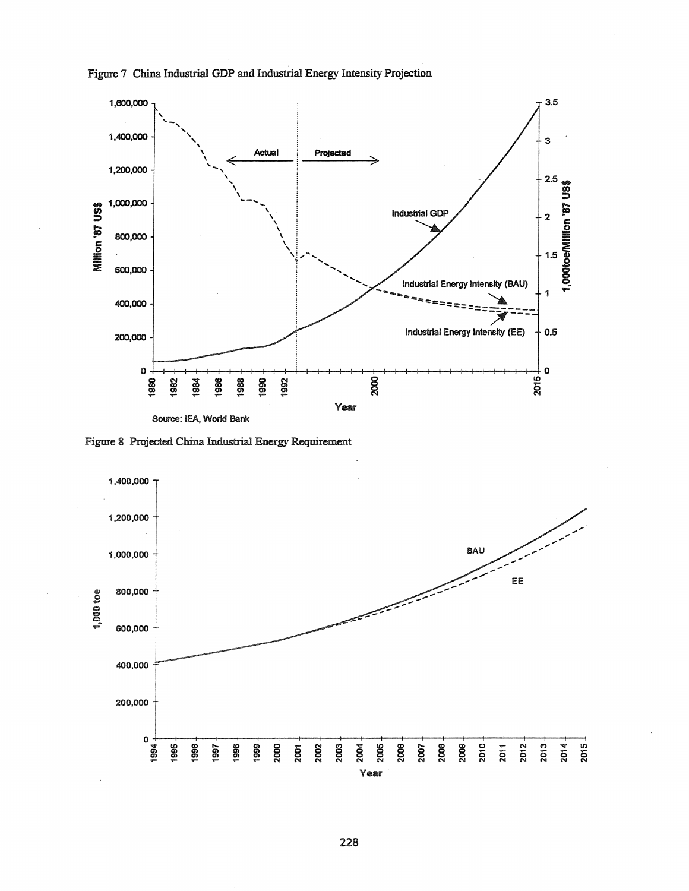

Figure 7 China Industrial GDP and Industrial Energy Intensity Projection

Figure 8 Projected China Industrial Energy Requirement

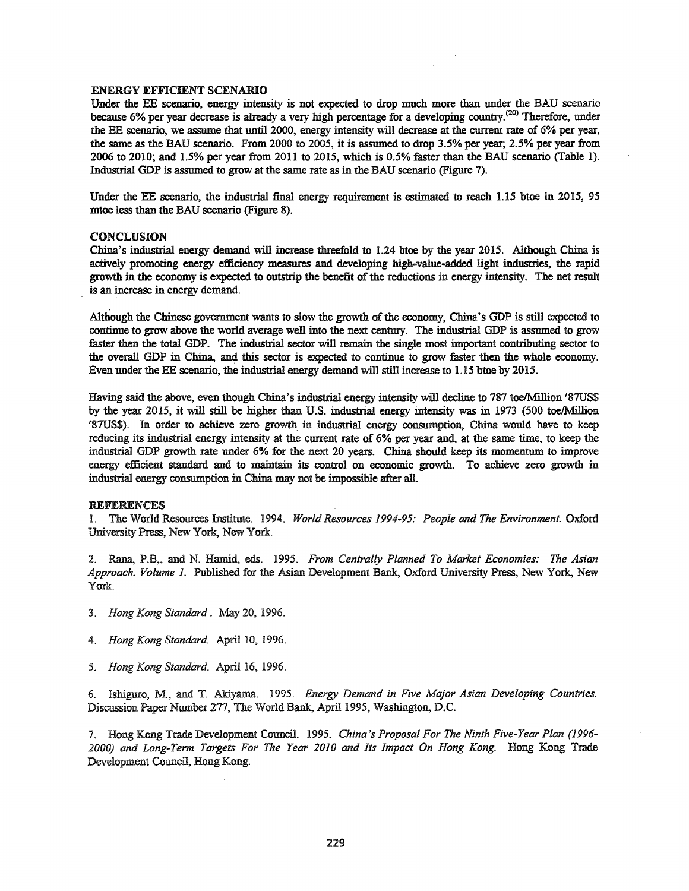#### ENERGY EFFICIENT SCENARIO

Under the EE scenario, energy intensity is not expected to drop much more than under the BAU scenario because 6% per year decrease is already a very high percentage for a developing country.<sup>(20)</sup> Therefore, under the EE scenario, we assume that until 2000, energy intensity will decrease at the current rate of 6% per year, the same as the BAU scenario. From 2000 to 2005, it is assumed to drop 3.5% per year; 2.5% per year from 2006 to 2010; and 1.5% per year from 2011 to 2015, which is 0.5% faster than the BAU scenario (Table 1). Industrial GDP is assumed to grow at the same rate as in the BAU scenario (Figure 7).

Under the EE scenario, the industrial final energy requirement is estimated to reach 1.15 btoe in 2015, 95 mtoe less than the BAU scenario (Figure 8).

#### **CONCLUSION**

China's industrial energy demand will increase threefold to 1.24 btoe by the year 2015. Although China is actively promoting energy efficiency measures and developing high-value-added light industries, the rapid growth in the economy is expected to outstrip the benefit of the reductions in energy intensity. The net result is an increase in energy demand.

Although the Chinese government wants to slow the growth of the economy, China's GDP is still expected to continue to grow above the world average well into the next century. The industrial GDP is assumed to grow faster then the total GDP. The industrial sector will remain the single most important contributing sector to the overall GDP in China., and this sector is expected to continue to grow faster then the whole economy. Even under the EE scenario, the industrial energy demand will still increase to 1.15 btoe by 2015.

Having said the above, even though China's industrial energy intensity will decline to 787 toe/Million '87US\$ by the year 2015, it will still be higher than U.S. industrial energy intensity was in 1973 (500 toe/Million '87US\$). In order to achieve zero growth in industrial energy consumption, China would have to keep reducing its industrial energy intensity at the current rate of 6% per year and, at the same time, to keep the industrial GDP growth rate under 6% for the next 20 years. China should keep its momentum to improve energy efficient standard and to maintain its control on economic growth. To achieve zero growth in industrial energy consumption in China may not be impossible after all.

#### REFERENCES

1. The World Resources Institute. 1994. *World Resources* 1994-95: *People and The Environment.* Oxford University Press, New York, New York.

2. Rana, P.B" and N. Hamid, 008. 1995. *From Centrally Planned To Market Economies: The Asian Approach. Volume* 1. Published for the Asian Development Bank, Oxford University Press, New York, New York.

- *3. Hong Kong Standard.* May 20,1996.
- *4. Hong Kong Standard.* April 10, 1996.
- *5. Hong Kong Standard.* April 16, 1996.

6. Ishiguro, M., and T. Akiyama. 1995. *Energy Demand in Five Major Asian Developing Countries.* Discussion Paper Number 277, The World Bank, April 1995, Washington, D.C.

7. Hong Kong Trade Development Council. 1995. *China's Proposal For The Ninth Five-Year Plan (1996- 2000) and Long-Term Targets For The Year 2010 and Its Impact On Hong Kong.* Hong Kong Trade Development Council, Hong Kong.